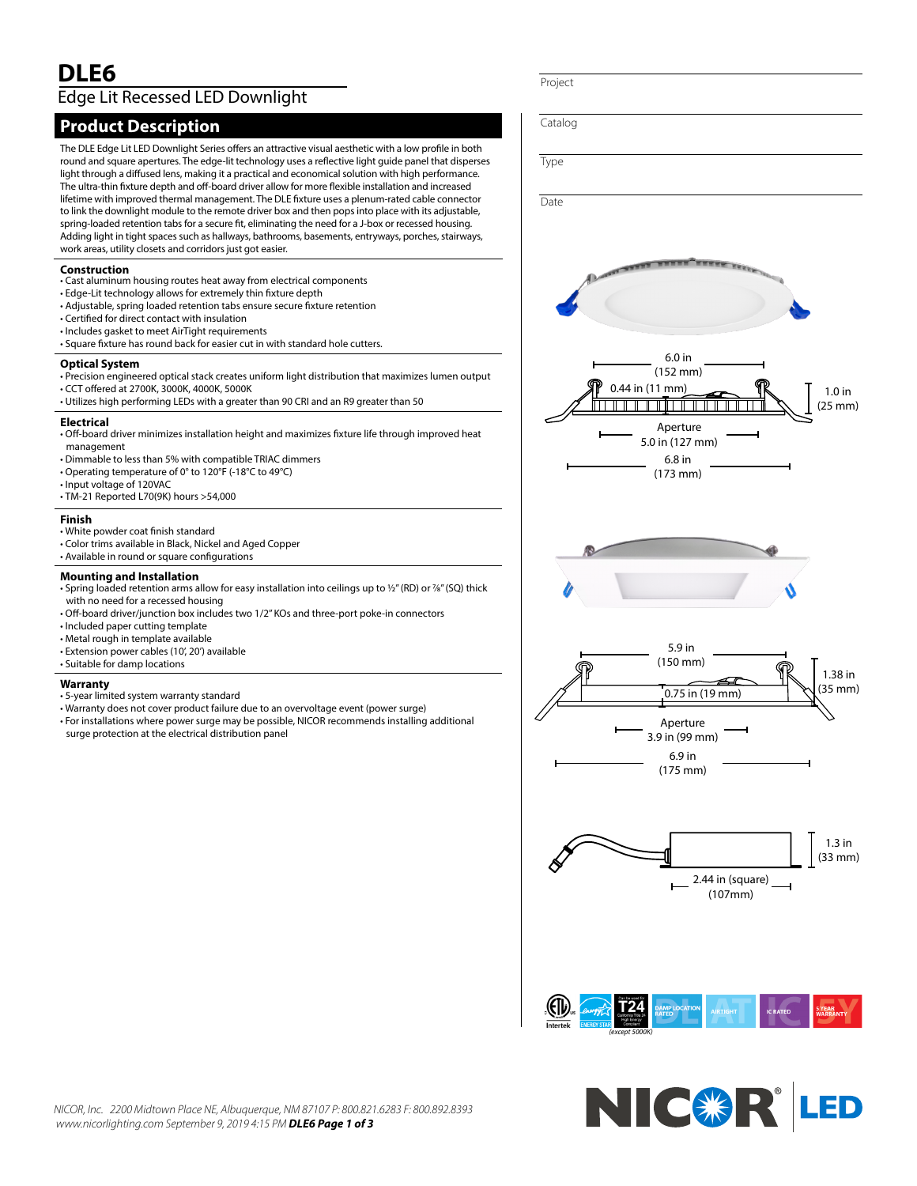# **DLE6** Edge Lit Recessed LED Downlight

## **Product Description**

The DLE Edge Lit LED Downlight Series offers an attractive visual aesthetic with a low profile in both round and square apertures. The edge-lit technology uses a reflective light guide panel that disperses light through a diffused lens, making it a practical and economical solution with high performance. The ultra-thin fixture depth and off-board driver allow for more flexible installation and increased lifetime with improved thermal management. The DLE fixture uses a plenum-rated cable connector to link the downlight module to the remote driver box and then pops into place with its adjustable, spring-loaded retention tabs for a secure fit, eliminating the need for a J-box or recessed housing. Adding light in tight spaces such as hallways, bathrooms, basements, entryways, porches, stairways, work areas, utility closets and corridors just got easier.

#### **Construction**

- Cast aluminum housing routes heat away from electrical components
- Edge-Lit technology allows for extremely thin fixture depth
- Adjustable, spring loaded retention tabs ensure secure fixture retention
- Certified for direct contact with insulation
- Includes gasket to meet AirTight requirements
- Square fixture has round back for easier cut in with standard hole cutters.

#### **Optical System**

- Precision engineered optical stack creates uniform light distribution that maximizes lumen output • CCT offered at 2700K, 3000K, 4000K, 5000K
- Utilizes high performing LEDs with a greater than 90 CRI and an R9 greater than 50

#### **Electrical**

- Off-board driver minimizes installation height and maximizes fixture life through improved heat management
- Dimmable to less than 5% with compatible TRIAC dimmers
- Operating temperature of 0° to 120°F (-18°C to 49°C)
- Input voltage of 120VAC
- TM-21 Reported L70(9K) hours >54,000

#### **Finish**

- White powder coat finish standard
- Color trims available in Black, Nickel and Aged Copper
- Available in round or square configurations

#### **Mounting and Installation**

- Spring loaded retention arms allow for easy installation into ceilings up to 1/2" (RD) or 7/8" (SQ) thick with no need for a recessed housing
- Off-board driver/junction box includes two 1/2" KOs and three-port poke-in connectors
- Included paper cutting template
- Metal rough in template available
- Extension power cables (10', 20') available
- Suitable for damp locations

#### **Warranty**

- 5-year limited system warranty standard
- Warranty does not cover product failure due to an overvoltage event (power surge)
- For installations where power surge may be possible, NICOR recommends installing additional
- surge protection at the electrical distribution panel

Project Catalog Type **Date** 6.0 in (152 mm) 0.44 in (11 mm) 1.0 in كالكالكات الالتالا اكالكاليات (25 mm) Aperture 5.0 in (127 mm) 6.8 in (173 mm) 5.9 in (150 mm) 1.38 in  $\frac{1}{2}$  (35 mm) Aperture 3.9 in (99 mm) 6.9 in (175 mm) 1.3 in (33 mm) 2.44 in (square) (107mm) **AIRTIGHT** *(except 5000K)*

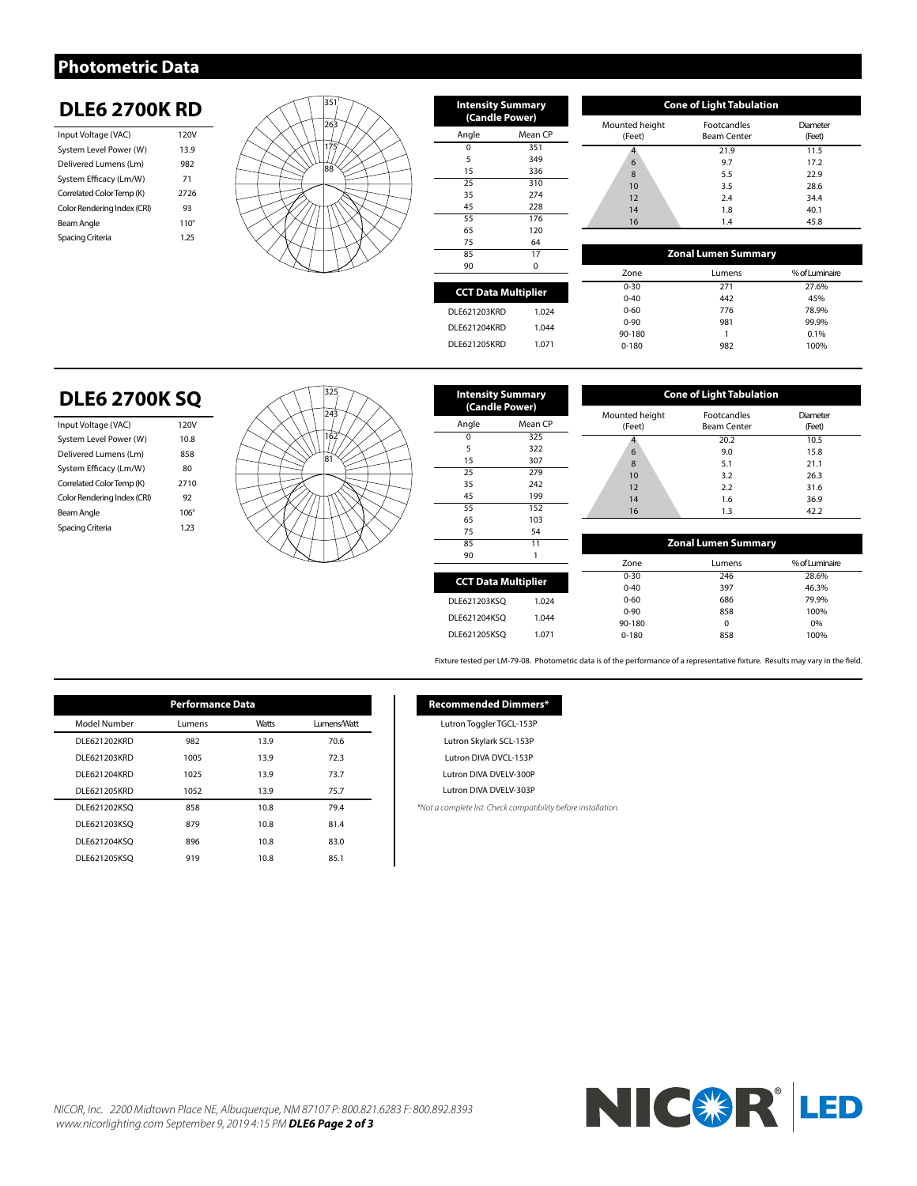### **Photometric Data**

## **DLE6 2700K RD**

| Input Voltage (VAC)         | 120V        |
|-----------------------------|-------------|
| System Level Power (W)      | 13.9        |
| Delivered Lumens (Lm)       | 982         |
| System Efficacy (Lm/W)      | 71          |
| Correlated Color Temp (K)   | 2726        |
| Color Rendering Index (CRI) | 93          |
| Beam Angle                  | $110^\circ$ |
| Spacing Criteria            | 1 25        |
|                             |             |



| <b>Intensity Summary</b><br>(Candle Power) |          |  |
|--------------------------------------------|----------|--|
| Angle                                      | Mean CP  |  |
| $\Omega$                                   | 351      |  |
| 5                                          | 349      |  |
| 15                                         | 336      |  |
| 25                                         | 310      |  |
| 35                                         | 274      |  |
| 45                                         | 228      |  |
| 55                                         | 176      |  |
| 65                                         | 120      |  |
| 75                                         | 64       |  |
| 85                                         | 17       |  |
| 90                                         | $\Omega$ |  |
|                                            |          |  |
| <b>CCT Data Multiplier</b>                 |          |  |
| DLE621203KRD                               | 1.024    |  |

| <b>Cone of Light Tabulation</b> |                                          |                    |  |  |
|---------------------------------|------------------------------------------|--------------------|--|--|
| Mounted height<br>(Feet)        | <b>Footcandles</b><br><b>Beam Center</b> | Diameter<br>(Feet) |  |  |
|                                 | 21.9                                     | 11.5               |  |  |
| 6                               | 9.7                                      | 17.2               |  |  |
| 8                               | 5.5                                      | 22.9               |  |  |
| 10                              | 3.5                                      | 28.6               |  |  |
| 12                              | 2.4                                      | 34.4               |  |  |
| 14                              | 1.8                                      | 40.1               |  |  |
| 16                              | 1.4                                      | 45.8               |  |  |

| 85                         | 17       | <b>Zonal Lumen Summary</b> |        |                |
|----------------------------|----------|----------------------------|--------|----------------|
| 90                         | $\Omega$ | Zone                       | Lumens | % of Luminaire |
| <b>CCT Data Multiplier</b> |          | $0 - 30$                   | 271    | 27.6%          |
|                            |          | $0 - 40$                   | 442    | 45%            |
| DLE621203KRD               | 1.024    | $0 - 60$                   | 776    | 78.9%          |
|                            |          | $0 - 90$                   | 981    | 99.9%          |
| DLE621204KRD               | 1.044    | 90-180                     |        | 0.1%           |
| <b>DLE621205KRD</b>        | 1.071    | $0 - 180$                  | 982    | 100%           |
|                            |          |                            |        |                |

# **DLE6 2700K SQ**

| Input Voltage (VAC)         | 120V        |
|-----------------------------|-------------|
| System Level Power (W)      | 10.8        |
| Delivered Lumens (Lm)       | 858         |
| System Efficacy (Lm/W)      | 80          |
| Correlated Color Temp (K)   | 2710        |
| Color Rendering Index (CRI) | 92          |
| Beam Angle                  | $106^\circ$ |
| Spacing Criteria            | 1 23        |
|                             |             |



| <b>Intensity Summary</b><br>(Candle Power) |         |  |  |
|--------------------------------------------|---------|--|--|
| Angle                                      | Mean CP |  |  |
| O                                          | 325     |  |  |
| 5                                          | 322     |  |  |
| 15                                         | 307     |  |  |
| 25                                         | 279     |  |  |
| 35                                         | 242     |  |  |
| 45                                         | 199     |  |  |
| 55                                         | 152     |  |  |
| 65                                         | 103     |  |  |
| 75                                         | 54      |  |  |
| 85                                         | 11      |  |  |
| 90                                         | 1       |  |  |
|                                            |         |  |  |
| <b>CCT Data Multiplier</b>                 |         |  |  |
| DLE621203KSO                               | 1.024   |  |  |
| DLE621204KSO                               | 1.044   |  |  |
| DLE621205KSO                               | 1.071   |  |  |

|                          | <b>Cone of Light Tabulation</b>   |                    |  |  |
|--------------------------|-----------------------------------|--------------------|--|--|
| Mounted height<br>(Feet) | Footcandles<br><b>Beam Center</b> | Diameter<br>(Feet) |  |  |
|                          | 20.2                              | 10.5               |  |  |
| 6                        | 9.0                               | 15.8               |  |  |
| 8                        | 5.1                               | 21.1               |  |  |
| 10                       | 3.2                               | 26.3               |  |  |
| 12                       | 2.2                               | 31.6               |  |  |
| 14                       | 1.6                               | 36.9               |  |  |
| 16                       | 1.3                               | 42.2               |  |  |

| 85                 | 11       |           | <b>Zonal Lumen Summary</b> |                |
|--------------------|----------|-----------|----------------------------|----------------|
| 90                 |          | Zone      | Lumens                     | % of Luminaire |
| CT Data Multiplier |          | $0 - 30$  | 246                        | 28.6%          |
|                    |          | $0 - 40$  | 397                        | 46.3%          |
| 621203KSO          | 1.024    | $0 - 60$  | 686                        | 79.9%          |
|                    | $0 - 90$ | 858       | 100%                       |                |
| 621204KSO          | 1.044    | 90-180    | $\Omega$                   | 0%             |
| 621205KSO          | 1.071    | $0 - 180$ | 858                        | 100%           |
|                    |          |           |                            |                |

Fixture tested per LM-79-08. Photometric data is of the performance of a representative fixture. Results may vary in the field.

| <b>Performance Data</b> |        |              |             |  |
|-------------------------|--------|--------------|-------------|--|
| Model Number            | Lumens | <b>Watts</b> | Lumens/Watt |  |
| <b>DLE621202KRD</b>     | 982    | 13.9         | 70.6        |  |
| <b>DLE621203KRD</b>     | 1005   | 13.9         | 72.3        |  |
| DLE621204KRD            | 1025   | 13.9         | 73.7        |  |
| <b>DLE621205KRD</b>     | 1052   | 13.9         | 75.7        |  |
| DLE621202KSO            | 858    | 10.8         | 79.4        |  |
| DLE621203KSO            | 879    | 10.8         | 81.4        |  |
| DLE621204KSO            | 896    | 10.8         | 83.0        |  |
| DLE621205KSO            | 919    | 10.8         | 85.1        |  |

### **Recommended Dimmers\***

Lutron Toggler TGCL-153P Lutron Skylark SCL-153P Lutron DIVA DVCL-153P Lutron DIVA DVELV-300P

Lutron DIVA DVELV-303P

*\*Not a complete list. Check compatibility before installation.*